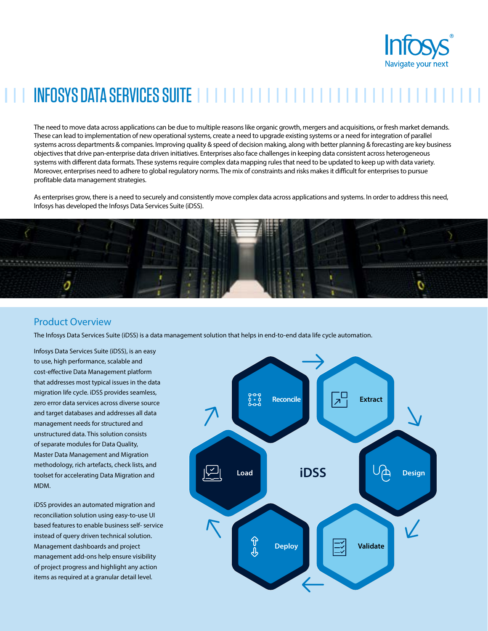

# INFOSYS DATA SERVICES SUITE

The need to move data across applications can be due to multiple reasons like organic growth, mergers and acquisitions, or fresh market demands. These can lead to implementation of new operational systems, create a need to upgrade existing systems or a need for integration of parallel systems across departments & companies. Improving quality & speed of decision making, along with better planning & forecasting are key business objectives that drive pan-enterprise data driven initiatives. Enterprises also face challenges in keeping data consistent across heterogeneous systems with different data formats. These systems require complex data mapping rules that need to be updated to keep up with data variety. Moreover, enterprises need to adhere to global regulatory norms. The mix of constraints and risks makes it difficult for enterprises to pursue profitable data management strategies.

As enterprises grow, there is a need to securely and consistently move complex data across applications and systems. In order to address this need, Infosys has developed the Infosys Data Services Suite (iDSS).



# Product Overview

The Infosys Data Services Suite (iDSS) is a data management solution that helps in end-to-end data life cycle automation.

Infosys Data Services Suite (iDSS), is an easy to use, high performance, scalable and cost-effective Data Management platform that addresses most typical issues in the data migration life cycle. iDSS provides seamless, zero error data services across diverse source and target databases and addresses all data management needs for structured and unstructured data. This solution consists of separate modules for Data Quality, Master Data Management and Migration methodology, rich artefacts, check lists, and toolset for accelerating Data Migration and MDM.

iDSS provides an automated migration and reconciliation solution using easy-to-use UI based features to enable business self- service instead of query driven technical solution. Management dashboards and project management add-ons help ensure visibility of project progress and highlight any action items as required at a granular detail level.